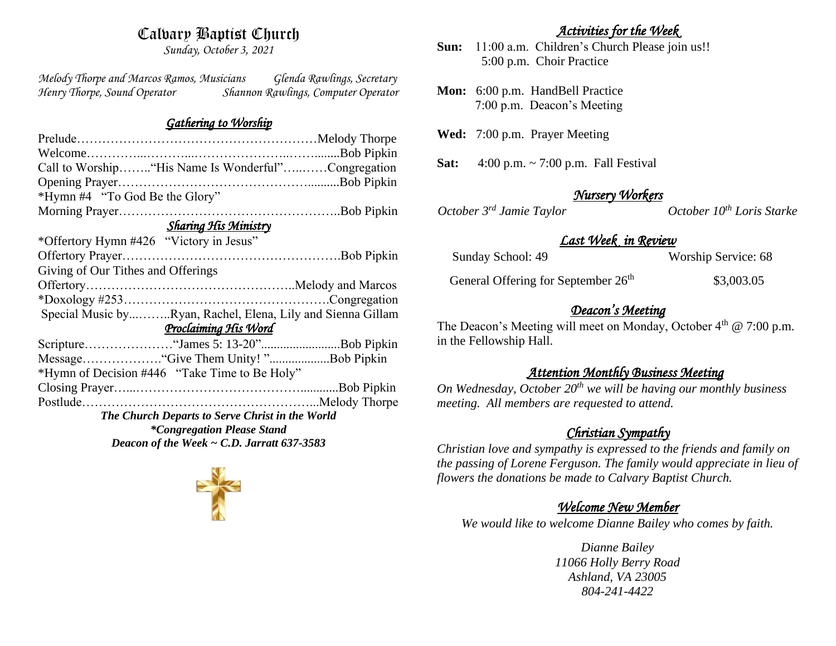## Calvary Baptist Church

*Sunday, October 3, 2021*

*Melody Thorpe and Marcos Ramos, Musicians Glenda Rawlings, Secretary Henry Thorpe, Sound Operator Shannon Rawlings, Computer Operator* 

#### *Gathering to Worship*

| Call to Worship "His Name Is Wonderful"Congregation         |  |  |
|-------------------------------------------------------------|--|--|
|                                                             |  |  |
|                                                             |  |  |
|                                                             |  |  |
| <b>Sharing His Ministry</b>                                 |  |  |
|                                                             |  |  |
|                                                             |  |  |
|                                                             |  |  |
|                                                             |  |  |
|                                                             |  |  |
| Special Music byRyan, Rachel, Elena, Lily and Sienna Gillam |  |  |
| Proclaiming His Word                                        |  |  |
|                                                             |  |  |
|                                                             |  |  |
| *Hymn of Decision #446 "Take Time to Be Holy"               |  |  |
|                                                             |  |  |
|                                                             |  |  |
| The Church Departs to Serve Christ in the World             |  |  |
| <i>*Congregation Please Stand</i>                           |  |  |
| Deacon of the Week $\sim$ C.D. Jarratt 637-3583             |  |  |
|                                                             |  |  |



#### *Activities for the Week*

- **Sun:** 11:00 a.m. Children's Church Please join us!! 5:00 p.m. Choir Practice
- **Mon:** 6:00 p.m. HandBell Practice 7:00 p.m. Deacon's Meeting
- **Wed:** 7:00 p.m. Prayer Meeting
- **Sat:** 4:00 p.m. ~ 7:00 p.m. Fall Festival

*October*  $3<sup>rd</sup>$  *Jamie Taylor* 

*Nursery Workers* 

## *Last Week in Review*

| Sunday School: 49                               | Worship Service: 68 |
|-------------------------------------------------|---------------------|
| General Offering for September 26 <sup>th</sup> | \$3,003.05          |

## *Deacon's Meeting*

The Deacon's Meeting will meet on Monday, October  $4<sup>th</sup>$  @ 7:00 p.m. in the Fellowship Hall.

#### *Attention Monthly Business Meeting*

*On Wednesday, October 20th we will be having our monthly business meeting. All members are requested to attend.* 

## *Christian Sympathy*

*Christian love and sympathy is expressed to the friends and family on the passing of Lorene Ferguson. The family would appreciate in lieu of flowers the donations be made to Calvary Baptist Church.*

## *Welcome New Member*

*We would like to welcome Dianne Bailey who comes by faith.*

*Dianne Bailey 11066 Holly Berry Road Ashland, VA 23005 804-241-4422*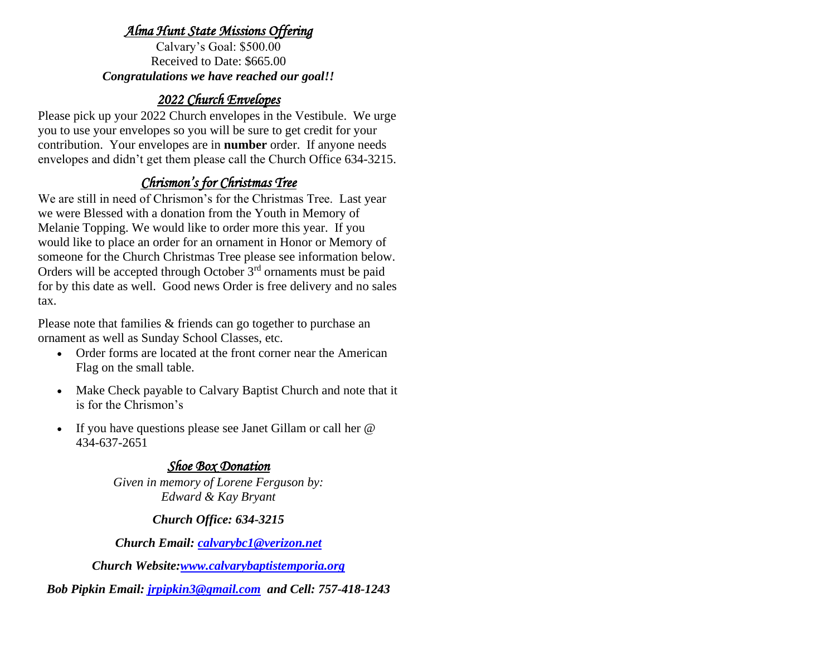#### *Alma Hunt State Missions Offering*

Calvary's Goal: \$500.00 Received to Date: \$665.00 *Congratulations we have reached our goal!!*

## *2022 Church Envelopes*

Please pick up your 2022 Church envelopes in the Vestibule. We urge you to use your envelopes so you will be sure to get credit for your contribution. Your envelopes are in **number** order.If anyone needs envelopes and didn't get them please call the Church Office 634-3215.

# *Chrismon's for Christmas Tree*

We are still in need of Chrismon's for the Christmas Tree. Last year we were Blessed with a donation from the Youth in Memory of Melanie Topping. We would like to order more this year. If you would like to place an order for an ornament in Honor or Memory of someone for the Church Christmas Tree please see information below. Orders will be accepted through October 3<sup>rd</sup> ornaments must be paid for by this date as well. Good news Order is free delivery and no sales tax.

Please note that families & friends can go together to purchase an ornament as well as Sunday School Classes, etc.

- Order forms are located at the front corner near the American Flag on the small table.
- Make Check payable to Calvary Baptist Church and note that it is for the Chrismon's
- If you have questions please see Janet Gillam or call her @ 434-637-2651

## *Shoe Box Donation*

*Given in memory of Lorene Ferguson by: Edward & Kay Bryant*

#### *Church Office: 634-3215*

*Church Email: [calvarybc1@verizon.net](mailto:cbcemporiaoffice@gmail.com)*

*Church Website[:www.calvarybaptistemporia.org](http://www.calvarybaptistemporia.org/)*

*Bob Pipkin Email: [jrpipkin3@gmail.com](mailto:jrpipkin3@gmail.com) and Cell: 757-418-1243*